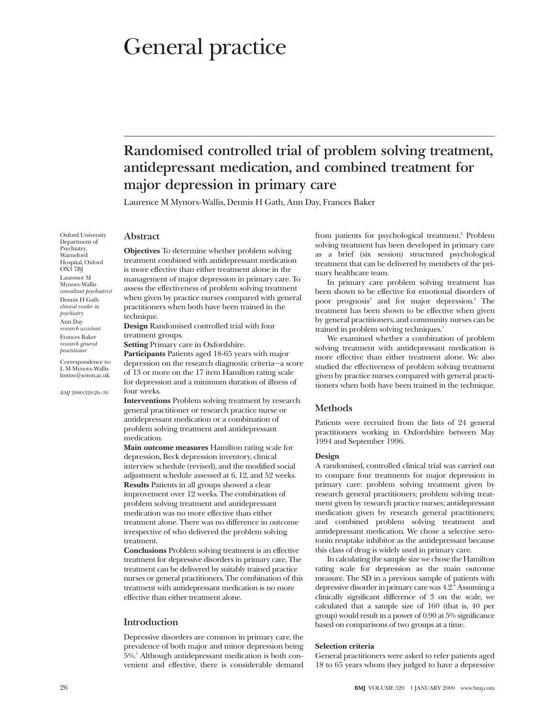# General practice

# **Randomised controlled trial of problem solving treatment, antidepressant medication, and combined treatment for major depression in primary care**

Laurence M Mynors-Wallis, Dennis H Gath, Ann Day, Frances Baker

# **Abstract**

**Objectives** To determine whether problem solving treatment combined with antidepressant medication is more effective than either treatment alone in the management of major depression in primary care. To assess the effectiveness of problem solving treatment when given by practice nurses compared with general practitioners when both have been trained in the technique.

**Design** Randomised controlled trial with four treatment groups.

**Setting** Primary care in Oxfordshire.

**Participants** Patients aged 18-65 years with major depression on the research diagnostic criteria—a score of 13 or more on the 17 item Hamilton rating scale for depression and a minimum duration of illness of four weeks.

**Interventions** Problem solving treatment by research general practitioner or research practice nurse or antidepressant medication or a combination of problem solving treatment and antidepressant medication.

**Main outcome measures** Hamilton rating scale for depression, Beck depression inventory, clinical interview schedule (revised), and the modified social adjustment schedule assessed at 6, 12, and 52 weeks. **Results** Patients in all groups showed a clear improvement over 12 weeks. The combination of problem solving treatment and antidepressant medication was no more effective than either treatment alone. There was no difference in outcome irrespective of who delivered the problem solving treatment.

**Conclusions** Problem solving treatment is an effective treatment for depressive disorders in primary care. The treatment can be delivered by suitably trained practice nurses or general practitioners. The combination of this treatment with antidepressant medication is no more effective than either treatment alone.

# **Introduction**

Depressive disorders are common in primary care, the prevalence of both major and minor depression being 5%.1 Although antidepressant medication is both convenient and effective, there is considerable demand from patients for psychological treatment.<sup>2</sup> Problem solving treatment has been developed in primary care as a brief (six session) structured psychological treatment that can be delivered by members of the primary healthcare team.

In primary care problem solving treatment has been shown to be effective for emotional disorders of poor prognosis<sup>3</sup> and for major depression.<sup>4</sup> The treatment has been shown to be effective when given by general practitioners, and community nurses can be trained in problem solving techniques.<sup>5</sup>

We examined whether a combination of problem solving treatment with antidepressant medication is more effective than either treatment alone. We also studied the effectiveness of problem solving treatment given by practice nurses compared with general practitioners when both have been trained in the technique.

# **Methods**

Patients were recruited from the lists of 24 general practitioners working in Oxfordshire between May 1994 and September 1996.

# **Design**

A randomised, controlled clinical trial was carried out to compare four treatments for major depression in primary care: problem solving treatment given by research general practitioners; problem solving treatment given by research practice nurses; antidepressant medication given by research general practitioners; and combined problem solving treatment and antidepressant medication. We chose a selective serotonin reuptake inhibitor as the antidepressant because this class of drug is widely used in primary care.

In calculating the sample size we chose the Hamilton rating scale for depression as the main outcome measure. The SD in a previous sample of patients with depressive disorder in primary care was 4.2.<sup>6</sup> Assuming a clinically significant difference of 3 on the scale, we calculated that a sample size of 160 (that is, 40 per group) would result in a power of 0.90 at 5% significance based on comparisons of two groups at a time.

#### **Selection criteria**

General practitioners were asked to refer patients aged 18 to 65 years whom they judged to have a depressive

Psychiatry, **Warneford** Hospital, Oxford OX3 7BJ Laurence M Mynors-Wallis *consultant psychiatrist* Dennis H Gath *clinical reader in psychiatry* Ann Day *research assistant* Frances Baker *research general practitioner* Correspondence to:

Oxford University Department of

L M Mynors-Wallis lmmw@soton.ac.uk

*BMJ* 2000;320:26–30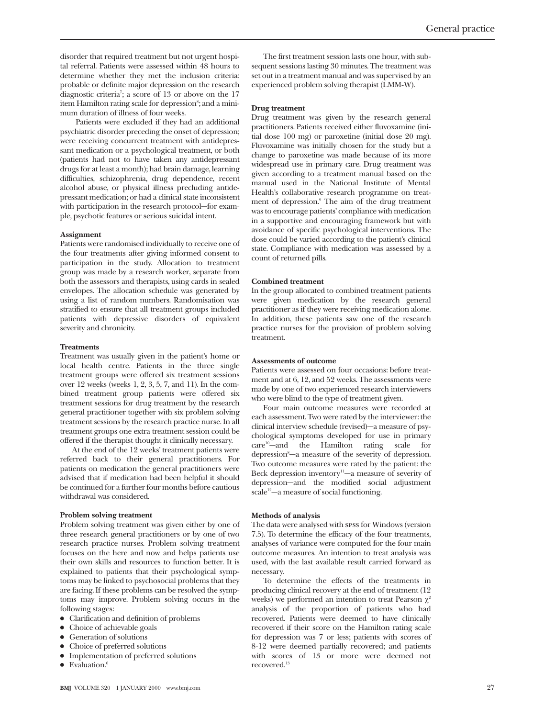disorder that required treatment but not urgent hospital referral. Patients were assessed within 48 hours to determine whether they met the inclusion criteria: probable or definite major depression on the research diagnostic criteria<sup>7</sup>; a score of 13 or above on the 17 item Hamilton rating scale for depression<sup>8</sup>; and a minimum duration of illness of four weeks.

Patients were excluded if they had an additional psychiatric disorder preceding the onset of depression; were receiving concurrent treatment with antidepressant medication or a psychological treatment, or both (patients had not to have taken any antidepressant drugs for at least a month); had brain damage, learning difficulties, schizophrenia, drug dependence, recent alcohol abuse, or physical illness precluding antidepressant medication; or had a clinical state inconsistent with participation in the research protocol—for example, psychotic features or serious suicidal intent.

# **Assignment**

Patients were randomised individually to receive one of the four treatments after giving informed consent to participation in the study. Allocation to treatment group was made by a research worker, separate from both the assessors and therapists, using cards in sealed envelopes. The allocation schedule was generated by using a list of random numbers. Randomisation was stratified to ensure that all treatment groups included patients with depressive disorders of equivalent severity and chronicity.

# **Treatments**

Treatment was usually given in the patient's home or local health centre. Patients in the three single treatment groups were offered six treatment sessions over 12 weeks (weeks 1, 2, 3, 5, 7, and 11). In the combined treatment group patients were offered six treatment sessions for drug treatment by the research general practitioner together with six problem solving treatment sessions by the research practice nurse. In all treatment groups one extra treatment session could be offered if the therapist thought it clinically necessary.

At the end of the 12 weeks' treatment patients were referred back to their general practitioners. For patients on medication the general practitioners were advised that if medication had been helpful it should be continued for a further four months before cautious withdrawal was considered.

## **Problem solving treatment**

Problem solving treatment was given either by one of three research general practitioners or by one of two research practice nurses. Problem solving treatment focuses on the here and now and helps patients use their own skills and resources to function better. It is explained to patients that their psychological symptoms may be linked to psychosocial problems that they are facing. If these problems can be resolved the symptoms may improve. Problem solving occurs in the following stages:

- Clarification and definition of problems
- Choice of achievable goals
- Generation of solutions
- Choice of preferred solutions
- Implementation of preferred solutions
- $\bullet$  Evaluation.<sup>6</sup>

The first treatment session lasts one hour, with subsequent sessions lasting 30 minutes. The treatment was set out in a treatment manual and was supervised by an experienced problem solving therapist (LMM-W).

# **Drug treatment**

Drug treatment was given by the research general practitioners. Patients received either fluvoxamine (initial dose 100 mg) or paroxetine (initial dose 20 mg). Fluvoxamine was initially chosen for the study but a change to paroxetine was made because of its more widespread use in primary care. Drug treatment was given according to a treatment manual based on the manual used in the National Institute of Mental Health's collaborative research programme on treatment of depression.<sup>9</sup> The aim of the drug treatment was to encourage patients' compliance with medication in a supportive and encouraging framework but with avoidance of specific psychological interventions. The dose could be varied according to the patient's clinical state. Compliance with medication was assessed by a count of returned pills.

#### **Combined treatment**

In the group allocated to combined treatment patients were given medication by the research general practitioner as if they were receiving medication alone. In addition, these patients saw one of the research practice nurses for the provision of problem solving treatment.

# **Assessments of outcome**

Patients were assessed on four occasions: before treatment and at 6, 12, and 52 weeks. The assessments were made by one of two experienced research interviewers who were blind to the type of treatment given.

Four main outcome measures were recorded at each assessment. Two were rated by the interviewer: the clinical interview schedule (revised)—a measure of psychological symptoms developed for use in primary care<sup>10</sup>—and the Hamilton rating scale for depression<sup>8</sup>-a measure of the severity of depression. Two outcome measures were rated by the patient: the Beck depression inventory $11$ —a measure of severity of depression—and the modified social adjustment  $scale<sup>12</sup>—a measure of social functioning.$ 

#### **Methods of analysis**

The data were analysed with spss for Windows (version 7.5). To determine the efficacy of the four treatments, analyses of variance were computed for the four main outcome measures. An intention to treat analysis was used, with the last available result carried forward as necessary.

To determine the effects of the treatments in producing clinical recovery at the end of treatment (12 weeks) we performed an intention to treat Pearson  $\chi^2$ analysis of the proportion of patients who had recovered. Patients were deemed to have clinically recovered if their score on the Hamilton rating scale for depression was 7 or less; patients with scores of 8-12 were deemed partially recovered; and patients with scores of 13 or more were deemed not recovered.13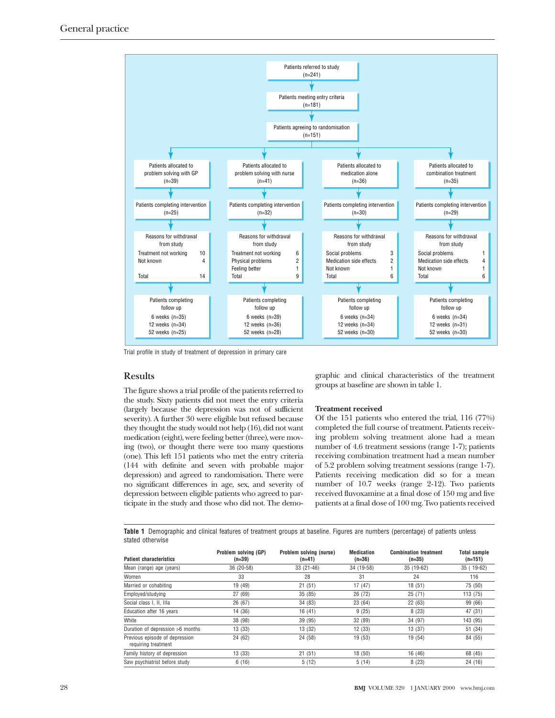

Trial profile in study of treatment of depression in primary care

# **Results**

The figure shows a trial profile of the patients referred to the study. Sixty patients did not meet the entry criteria (largely because the depression was not of sufficient severity). A further 30 were eligible but refused because they thought the study would not help (16), did not want medication (eight), were feeling better (three), were moving (two), or thought there were too many questions (one). This left 151 patients who met the entry criteria (144 with definite and seven with probable major depression) and agreed to randomisation. There were no significant differences in age, sex, and severity of depression between eligible patients who agreed to participate in the study and those who did not. The demo-

graphic and clinical characteristics of the treatment groups at baseline are shown in table 1.

# **Treatment received**

Of the 151 patients who entered the trial, 116 (77%) completed the full course of treatment. Patients receiving problem solving treatment alone had a mean number of 4.6 treatment sessions (range 1-7); patients receiving combination treatment had a mean number of 5.2 problem solving treatment sessions (range 1-7). Patients receiving medication did so for a mean number of 10.7 weeks (range 2-12). Two patients received fluvoxamine at a final dose of 150 mg and five patients at a final dose of 100 mg. Two patients received

**Table 1** Demographic and clinical features of treatment groups at baseline. Figures are numbers (percentage) of patients unless stated otherwise

| <b>Patient characteristics</b>                        | Problem solving (GP)<br>$(n=39)$ | Problem solving (nurse)<br>$(n=41)$ | <b>Medication</b><br>$(n=36)$ | <b>Combination treatment</b><br>$(n=35)$ | Total sample<br>$(n=151)$ |
|-------------------------------------------------------|----------------------------------|-------------------------------------|-------------------------------|------------------------------------------|---------------------------|
| Mean (range) age (years)                              | 36 (20-58)                       | 33 (21-46)                          | 34 (19-58)                    | 35 (19-62)                               | 35 (19-62)                |
| Women                                                 | 33                               | 28                                  | 31                            | 24                                       | 116                       |
| Married or cohabiting                                 | 19 (49)                          | 21(51)                              | 17(47)                        | 18(51)                                   | 75 (50)                   |
| Employed/studying                                     | 27(69)                           | 35(85)                              | 26 (72)                       | 25(71)                                   | 113 (75)                  |
| Social class I, II, IIIa                              | 26 (67)                          | 34 (83)                             | 23 (64)                       | 22(63)                                   | 99 (66)                   |
| Education after 16 years                              | 14 (36)                          | 16(41)                              | 9(25)                         | 8(23)                                    | 47 (31)                   |
| White                                                 | 38 (98)                          | 39 (95)                             | 32 (89)                       | 34 (97)                                  | 143 (95)                  |
| Duration of depression >6 months                      | 13(33)                           | 13(32)                              | 12 (33)                       | 13(37)                                   | 51 (34)                   |
| Previous episode of depression<br>requiring treatment | 24 (62)                          | 24 (58)                             | 19 (53)                       | 19 (54)                                  | 84 (55)                   |
| Family history of depression                          | 13 (33)                          | 21(51)                              | 18 (50)                       | 16 (46)                                  | 68 (45)                   |
| Saw psychiatrist before study                         | 6(16)                            | 5(12)                               | 5(14)                         | 8(23)                                    | 24(16)                    |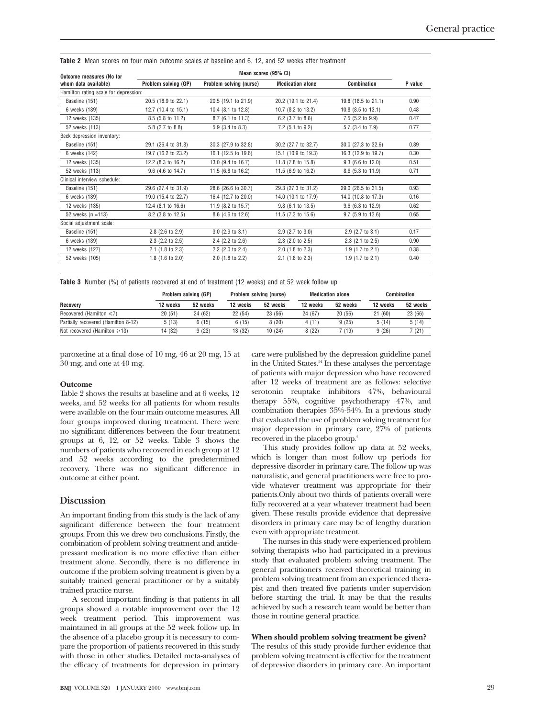**Table 2** Mean scores on four main outcome scales at baseline and 6, 12, and 52 weeks after treatment

| <b>Outcome measures (No for</b>       |                       | Mean scores (95% CI)          |                         |                             |         |  |  |
|---------------------------------------|-----------------------|-------------------------------|-------------------------|-----------------------------|---------|--|--|
| whom data available)                  | Problem solving (GP)  | Problem solving (nurse)       | <b>Medication alone</b> | Combination                 | P value |  |  |
| Hamilton rating scale for depression: |                       |                               |                         |                             |         |  |  |
| Baseline (151)                        | 20.5 (18.9 to 22.1)   | 20.5 (19.1 to 21.9)           | 20.2 (19.1 to 21.4)     | 19.8 (18.5 to 21.1)         | 0.90    |  |  |
| 6 weeks (139)                         | 12.7 (10.4 to 15.1)   | 10.4 (8.1 to 12.8)            | 10.7 (8.2 to 13.2)      | 10.8 (8.5 to 13.1)          | 0.48    |  |  |
| 12 weeks (135)                        | 8.5 (5.8 to 11.2)     | 8.7 (6.1 to 11.3)             | $6.2$ (3.7 to 8.6)      | $7.5$ (5.2 to 9.9)          | 0.47    |  |  |
| 52 weeks (113)                        | 5.8 (2.7 to 8.8)      | $5.9$ $(3.4 \text{ to } 8.3)$ | 7.2 (5.1 to 9.2)        | 5.7 (3.4 to 7.9)            | 0.77    |  |  |
| Beck depression inventory:            |                       |                               |                         |                             |         |  |  |
| Baseline (151)                        | 29.1 (26.4 to 31.8)   | 30.3 (27.9 to 32.8)           | 30.2 (27.7 to 32.7)     | 30.0 (27.3 to 32.6)         | 0.89    |  |  |
| 6 weeks (142)                         | 19.7 (16.2 to 23.2)   | 16.1 (12.5 to 19.6)           | 15.1 (10.9 to 19.3)     | 16.3 (12.9 to 19.7)         | 0.30    |  |  |
| 12 weeks (135)                        | 12.2 (8.3 to 16.2)    | 13.0 (9.4 to 16.7)            | 11.8 (7.8 to 15.8)      | 9.3 (6.6 to 12.0)           | 0.51    |  |  |
| 52 weeks (113)                        | $9.6$ (4.6 to 14.7)   | 11.5 (6.8 to 16.2)            | 11.5 (6.9 to 16.2)      | 8.6 (5.3 to 11.9)           | 0.71    |  |  |
| Clinical interview schedule:          |                       |                               |                         |                             |         |  |  |
| Baseline (151)                        | 29.6 (27.4 to 31.9)   | 28.6 (26.6 to 30.7)           | 29.3 (27.3 to 31.2)     | 29.0 (26.5 to 31.5)         | 0.93    |  |  |
| 6 weeks (139)                         | 19.0 (15.4 to 22.7)   | 16.4 (12.7 to 20.0)           | 14.0 (10.1 to 17.9)     | 14.0 (10.8 to 17.3)         | 0.16    |  |  |
| 12 weeks (135)                        | 12.4 (8.1 to 16.6)    | 11.9 (8.2 to 15.7)            | $9.8$ (6.1 to 13.5)     | 9.6 (6.3 to 12.9)           | 0.62    |  |  |
| 52 weeks (n =113)                     | 8.2 (3.8 to 12.5)     | 8.6 (4.6 to 12.6)             | 11.5 (7.3 to 15.6)      | 9.7 (5.9 to 13.6)           | 0.65    |  |  |
| Social adiustment scale:              |                       |                               |                         |                             |         |  |  |
| Baseline (151)                        | $2.8$ (2.6 to 2.9)    | $3.0$ (2.9 to $3.1$ )         | $2.9$ (2.7 to 3.0)      | $2.9$ (2.7 to 3.1)          | 0.17    |  |  |
| 6 weeks (139)                         | $2.3$ (2.2 to $2.5$ ) | $2.4$ (2.2 to $2.6$ )         | 2.3 (2.0 to 2.5)        | $2.3$ (2.1 to $2.5$ )       | 0.90    |  |  |
| 12 weeks (127)                        | $2.1$ (1.8 to 2.3)    | $2.2$ (2.0 to 2.4)            | $2.0$ (1.8 to $2.3$ )   | $1.9$ (1.7 to 2.1)          | 0.38    |  |  |
| 52 weeks (105)                        | $1.8$ (1.6 to 2.0)    | $2.0$ (1.8 to 2.2)            | $2.1$ (1.8 to 2.3)      | 1.9 $(1.7 \text{ to } 2.1)$ | 0.40    |  |  |

**Table 3** Number (%) of patients recovered at end of treatment (12 weeks) and at 52 week follow up

| Recovery                            | Problem solving (GP) |          | Problem solving (nurse) |          | <b>Medication alone</b> |          | Combination |          |
|-------------------------------------|----------------------|----------|-------------------------|----------|-------------------------|----------|-------------|----------|
|                                     | 12 weeks             | 52 weeks | 12 weeks                | 52 weeks | 12 weeks                | 52 weeks | 12 weeks    | 52 weeks |
| Recovered (Hamilton $\leq 7$ )      | 20(51)               | 24 (62)  | 22(54)                  | 23(56)   | 24 (67)                 | 20(56)   | 21(60)      | 23 (66)  |
| Partially recovered (Hamilton 8-12) | 5(13)                | 6(15)    | 6(15)                   | 8(20)    | 4(11)                   | 9(25)    | 5(14)       | 5(14)    |
| Not recovered (Hamilton $\geq 13$ ) | 14 (32)              | 9(23)    | 13 (32)                 | 10(24)   | 8(22)                   | (19)     | 9(26)       | 7 (21)   |

paroxetine at a final dose of 10 mg, 46 at 20 mg, 15 at 30 mg, and one at 40 mg.

#### **Outcome**

Table 2 shows the results at baseline and at 6 weeks, 12 weeks, and 52 weeks for all patients for whom results were available on the four main outcome measures. All four groups improved during treatment. There were no significant differences between the four treatment groups at 6, 12, or 52 weeks. Table 3 shows the numbers of patients who recovered in each group at 12 and 52 weeks according to the predetermined recovery. There was no significant difference in outcome at either point.

# **Discussion**

An important finding from this study is the lack of any significant difference between the four treatment groups. From this we drew two conclusions. Firstly, the combination of problem solving treatment and antidepressant medication is no more effective than either treatment alone. Secondly, there is no difference in outcome if the problem solving treatment is given by a suitably trained general practitioner or by a suitably trained practice nurse.

A second important finding is that patients in all groups showed a notable improvement over the 12 week treatment period. This improvement was maintained in all groups at the 52 week follow up. In the absence of a placebo group it is necessary to compare the proportion of patients recovered in this study with those in other studies. Detailed meta-analyses of the efficacy of treatments for depression in primary

care were published by the depression guideline panel in the United States.<sup>14</sup> In these analyses the percentage of patients with major depression who have recovered after 12 weeks of treatment are as follows: selective serotonin reuptake inhibitors 47%, behavioural therapy 55%, cognitive psychotherapy 47%, and combination therapies 35%-54%. In a previous study that evaluated the use of problem solving treatment for major depression in primary care, 27% of patients recovered in the placebo group.<sup>4</sup>

This study provides follow up data at 52 weeks, which is longer than most follow up periods for depressive disorder in primary care. The follow up was naturalistic, and general practitioners were free to provide whatever treatment was appropriate for their patients.Only about two thirds of patients overall were fully recovered at a year whatever treatment had been given. These results provide evidence that depressive disorders in primary care may be of lengthy duration even with appropriate treatment.

The nurses in this study were experienced problem solving therapists who had participated in a previous study that evaluated problem solving treatment. The general practitioners received theoretical training in problem solving treatment from an experienced therapist and then treated five patients under supervision before starting the trial. It may be that the results achieved by such a research team would be better than those in routine general practice.

# **When should problem solving treatment be given?**

The results of this study provide further evidence that problem solving treatment is effective for the treatment of depressive disorders in primary care. An important